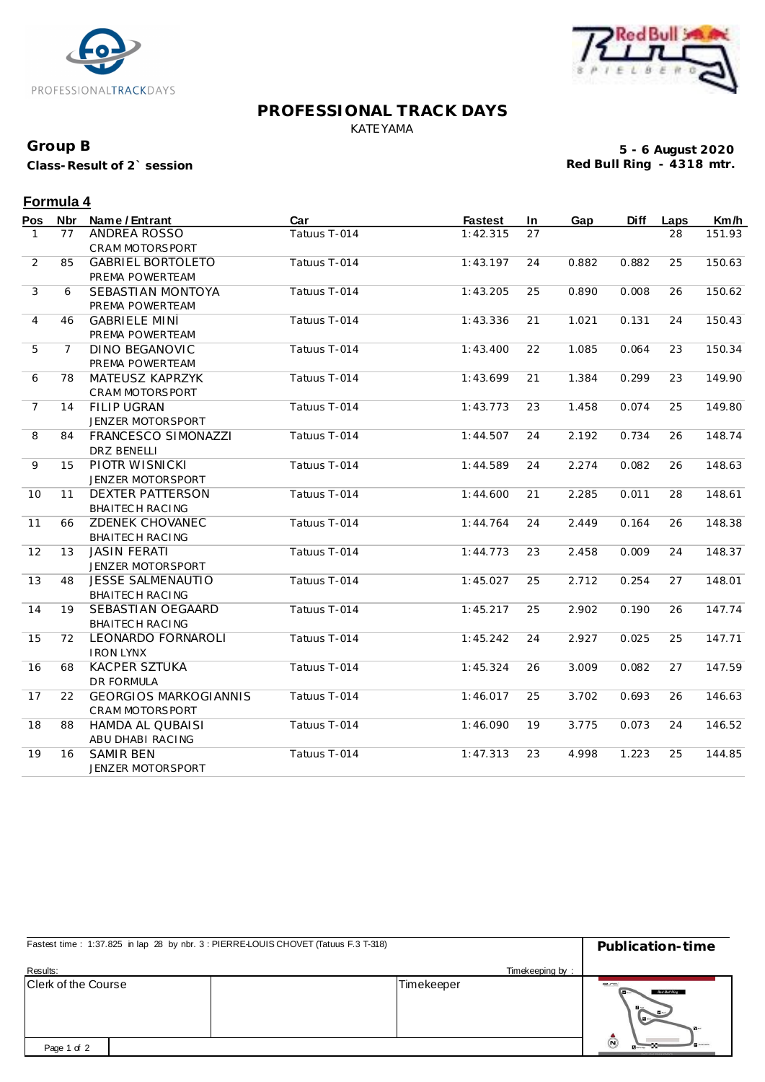



#### **PROFESSIONAL TRACK DAYS** KATEYAMA

## **Group B**

**Class-Result of 2` session**

**5 - 6 August 2020 Red Bull Ring - 4318 mtr.**

## **Formula 4**

| Pos            | <b>Nbr</b>     | Name / Entrant               | Car          | <b>Fastest</b> | In | Gap   | <b>Diff</b> | Laps | Km/h   |
|----------------|----------------|------------------------------|--------------|----------------|----|-------|-------------|------|--------|
| $\mathbf{1}$   | 77             | ANDREA ROSSO                 | Tatuus T-014 | 1:42.315       | 27 |       |             | 28   | 151.93 |
|                |                | CRAM MOTORSPORT              |              |                |    |       |             |      |        |
| 2              | 85             | <b>GABRIEL BORTOLETO</b>     | Tatuus T-014 | 1:43.197       | 24 | 0.882 | 0.882       | 25   | 150.63 |
|                |                | PREMA POWERTEAM              |              |                |    |       |             |      |        |
| 3              | 6              | SEBASTIAN MONTOYA            | Tatuus T-014 | 1:43.205       | 25 | 0.890 | 0.008       | 26   | 150.62 |
|                |                | PREMA POWERTEAM              |              |                |    |       |             |      |        |
| $\overline{4}$ | 46             | <b>GABRIELE MINÌ</b>         | Tatuus T-014 | 1:43.336       | 21 | 1.021 | 0.131       | 24   | 150.43 |
|                |                | PREMA POWERTEAM              |              |                |    |       |             |      |        |
| 5              | $\overline{7}$ | <b>DINO BEGANOVIC</b>        | Tatuus T-014 | 1:43.400       | 22 | 1.085 | 0.064       | 23   | 150.34 |
|                |                | PREMA POWERTEAM              |              |                |    |       |             |      |        |
| 6              | 78             | MATEUSZ KAPRZYK              | Tatuus T-014 | 1:43.699       | 21 | 1.384 | 0.299       | 23   | 149.90 |
|                |                | CRAM MOTORSPORT              |              |                |    |       |             |      |        |
| $\overline{7}$ | 14             | <b>FILIP UGRAN</b>           | Tatuus T-014 | 1:43.773       | 23 | 1.458 | 0.074       | 25   | 149.80 |
|                |                | JENZER MOTORSPORT            |              |                |    |       |             |      |        |
| 8              | 84             | <b>FRANCESCO SIMONAZZI</b>   | Tatuus T-014 | 1:44.507       | 24 | 2.192 | 0.734       | 26   | 148.74 |
|                |                | <b>DRZ BENELLI</b>           |              |                |    |       |             |      |        |
| 9              | 15             | PIOTR WISNICKI               | Tatuus T-014 | 1:44.589       | 24 | 2.274 | 0.082       | 26   | 148.63 |
|                |                | JENZER MOTORSPORT            |              |                |    |       |             |      |        |
| 10             | 11             | <b>DEXTER PATTERSON</b>      | Tatuus T-014 | 1:44.600       | 21 | 2.285 | 0.011       | 28   | 148.61 |
|                |                | BHAITECH RACING              |              |                |    |       |             |      |        |
| 11             | 66             | ZDENEK CHOVANEC              | Tatuus T-014 | 1:44.764       | 24 | 2.449 | 0.164       | 26   | 148.38 |
|                |                | BHAITECH RACING              |              |                |    |       |             |      |        |
| 12             | 13             | <b>JASIN FERATI</b>          | Tatuus T-014 | 1:44.773       | 23 | 2.458 | 0.009       | 24   | 148.37 |
|                |                | JENZER MOTORSPORT            |              |                |    |       |             |      |        |
| 13             | 48             | <b>JESSE SALMENAUTIO</b>     | Tatuus T-014 | 1:45.027       | 25 | 2.712 | 0.254       | 27   | 148.01 |
|                |                | BHAITECH RACING              |              |                |    |       |             |      |        |
| 14             | 19             | SEBASTIAN OEGAARD            | Tatuus T-014 | 1:45.217       | 25 | 2.902 | 0.190       | 26   | 147.74 |
|                |                | BHAITECH RACING              |              |                |    |       |             |      |        |
| 15             | 72             | LEONARDO FORNAROLI           | Tatuus T-014 | 1:45.242       | 24 | 2.927 | 0.025       | 25   | 147.71 |
|                |                | <b>IRON LYNX</b>             |              |                |    |       |             |      |        |
| 16             | 68             | <b>KACPER SZTUKA</b>         | Tatuus T-014 | 1:45.324       | 26 | 3.009 | 0.082       | 27   | 147.59 |
|                |                | <b>DR FORMULA</b>            |              |                |    |       |             |      |        |
| 17             | 22             | <b>GEORGIOS MARKOGIANNIS</b> | Tatuus T-014 | 1:46.017       | 25 | 3.702 | 0.693       | 26   | 146.63 |
|                |                | CRAM MOTORSPORT              |              |                |    |       |             |      |        |
| 18             | 88             | HAMDA AL QUBAISI             | Tatuus T-014 | 1:46.090       | 19 | 3.775 | 0.073       | 24   | 146.52 |
|                |                | ABU DHABI RACING             |              |                |    |       |             |      |        |
| 19             | 16             | <b>SAMIR BEN</b>             | Tatuus T-014 | 1:47.313       | 23 | 4.998 | 1.223       | 25   | 144.85 |
|                |                | JENZER MOTORSPORT            |              |                |    |       |             |      |        |

| Fastest time: 1:37.825 in lap 28 by nbr. 3 : PIERRE-LOUIS CHOVET (Tatuus F.3 T-318) |                 | Publication-time                                                   |  |  |
|-------------------------------------------------------------------------------------|-----------------|--------------------------------------------------------------------|--|--|
| Results:                                                                            | Timekeeping by: |                                                                    |  |  |
| <b>Clerk of the Course</b>                                                          | Timekeeper      | $-1$<br>Red But Ring<br>$\mathbf{F}$<br>$\sqrt{2}$<br>$\mathbf{N}$ |  |  |
| Page 1 of 2                                                                         |                 | Ō                                                                  |  |  |